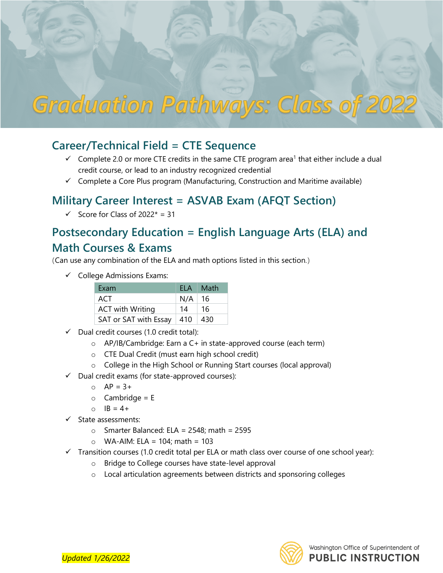

## **Career/Technical Field = CTE Sequence**

- credit course, or lead to an industry recognized credential  $\checkmark$  Complete 2.0 or more CTE credits in the same CTE program area<sup>1</sup> that either include a dual
- $\checkmark$  Complete a Core Plus program (Manufacturing, Construction and Maritime available)

## **Military Career Interest = ASVAB Exam (AFQT Section)**

 $\checkmark$  Score for Class of 2022\* = 31

## **Postsecondary Education = English Language Arts (ELA) and Math Courses & Exams**

| (Can use any combination of the ELA and math options listed in this section.) |                         |     |      |  |
|-------------------------------------------------------------------------------|-------------------------|-----|------|--|
| <b>College Admissions Exams:</b><br>$\checkmark$                              |                         |     |      |  |
|                                                                               | Exam                    | ELA | Math |  |
|                                                                               | ACT                     | N/A | 16   |  |
|                                                                               | <b>ACT</b> with Writing | 14  | 16   |  |
|                                                                               | SAT or SAT with Essay   | 410 | 430  |  |
| $\sim$ Dual cradit courses (1.0 cradit total):                                |                         |     |      |  |

- $\checkmark$  Dual credit courses (1.0 credit total):
	- o AP/IB/Cambridge: Earn a C+ in state-approved course (each term)
	- o CTE Dual Credit (must earn high school credit)
	- $\circ$  College in the High School or Running Start courses (local approval)
- $\checkmark$  Dual credit exams (for state-approved courses):
	- $O$  AP = 3+
	- $o$  Cambridge = E
	- $O$   $IB = 4+$
- $\checkmark$  State assessments:
	- $\circ$  Smarter Balanced: ELA = 2548; math = 2595
	- $\circ$  WA-AIM: ELA = 104; math = 103
- $\checkmark$  Transition courses (1.0 credit total per ELA or math class over course of one school year):
	- o Bridge to College courses have state-level approval
	- $\circ$  Local articulation agreements between districts and sponsoring colleges